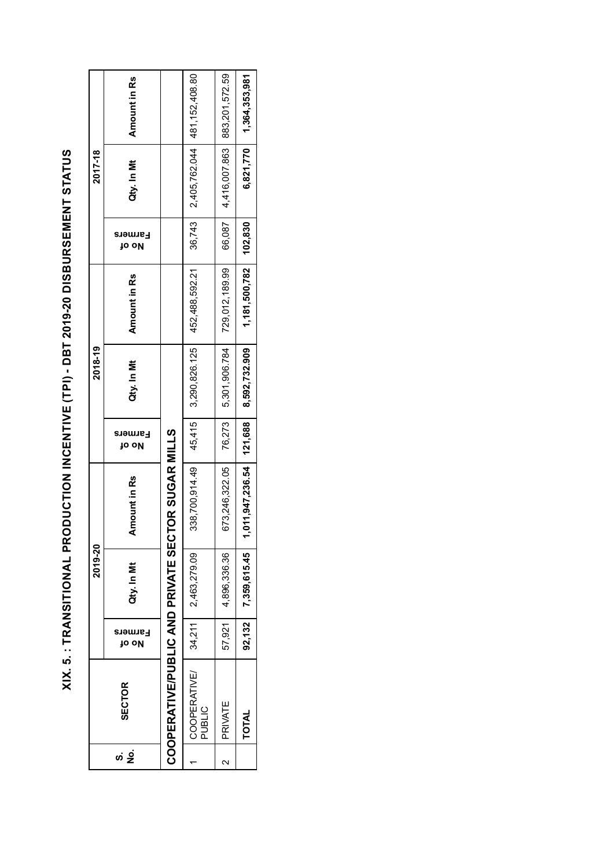XIX. 5. : TRANSITIONAL PRODUCTION INCENTIVE (TPI) - DBT 2019-20 DISBURSEMENT STATUS **XIX. 5. : TRANSITIONAL PRODUCTION INCENTIVE (TPI) - DBT 2019-20 DISBURSEMENT STATUS**

| 2,405,762.044 481,152,408.80<br>6,821,770   1,364,353,981<br>4,416,007.863<br>Qty. In Mt<br>36,743<br>66,087<br>1,181,500,782 102,830<br>452,488,592.21<br>729,012,189.99<br>Amount in Rs<br>5,301,906.784<br>8,592,732.909<br>3,290,826.125<br>Qty. In Mt<br>76,273<br>45,415<br><b>TOR SUGAR MILLS</b> | <b>SECTOR</b>                                                      |  | 2019-20 |       | 2018-19 |                         | 2017-18 |                |
|----------------------------------------------------------------------------------------------------------------------------------------------------------------------------------------------------------------------------------------------------------------------------------------------------------|--------------------------------------------------------------------|--|---------|-------|---------|-------------------------|---------|----------------|
|                                                                                                                                                                                                                                                                                                          | mount in Rs<br>Qty. In Mt<br>το οΚ                                 |  |         | το οκ |         | Farmers<br><b>μο ομ</b> |         | Amount in Rs   |
|                                                                                                                                                                                                                                                                                                          | COOPERATIVE/PUBLIC AND PRIVATE SECT                                |  |         |       |         |                         |         |                |
|                                                                                                                                                                                                                                                                                                          | 338,700,914.49<br>2,463,279.09<br>34,211<br>COOPERATIVE/<br>PUBLIC |  |         |       |         |                         |         |                |
|                                                                                                                                                                                                                                                                                                          | 673,246,322.05<br>4,896,336.36<br>57,921<br>PRIVATE                |  |         |       |         |                         |         | 883,201,572.59 |
|                                                                                                                                                                                                                                                                                                          | $1,011,947,236.54$   121,688<br>$92,132$ $7,359,615.45$<br>TOTAL   |  |         |       |         |                         |         |                |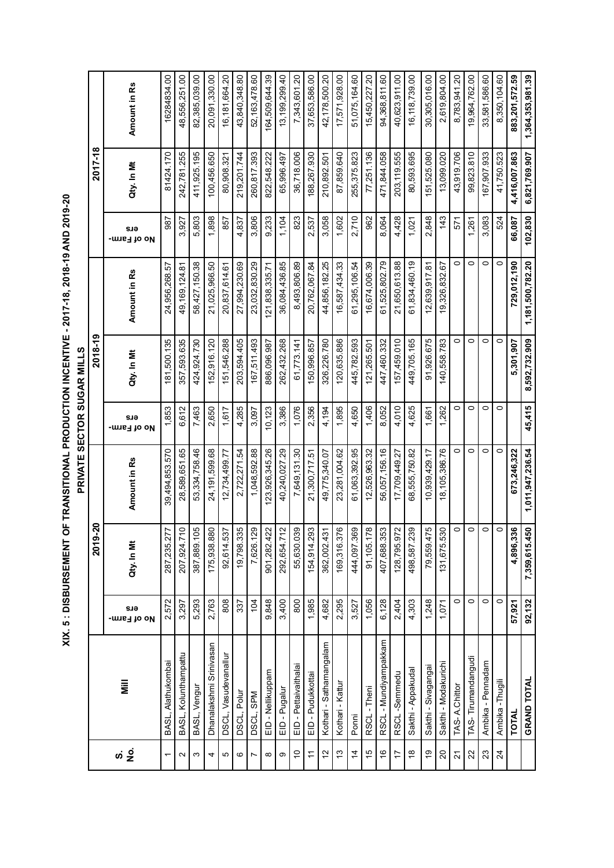XIX. 5: DISBURSEMENT OF TRANSITIONAL PRODUCTION INCENTIVE - 2017-18, 2018-19 AND 2019-20 **XIX. 5 : DISBURSEMENT OF TRANSITIONAL PRODUCTION INCENTIVE - 2017-18, 2018-19 AND 2019-20**

**PRIVATE SECTOR SUGAR MILLS**

PRIVATE SECTOR SUGAR MILLS

**TOTAL 57,921 4,896,336 673,246,322 5,301,907 729,012,190 66,087 4,416,007.863 883,201,572.59 GRAND TOTAL 92,132 7,359,615.450 1,011,947,236.54 45,415 8,592,732.909 1,181,500,782.20 102,830 6,821,769.907 1,364,353,981.39** 16,181,664.20 64,509,644.39 13, 199, 299. 40 94,368,811.60 40,623,911.00 16,118,739.00 30,305,016.00 19,964,762.00 33,581,586.60 883,201,572.59 1,364,353,981.39 16284834.00 48,556,251.00 82,385,039.00 20,091,330.00 43,840,348.80 52, 163, 478.60 7,343,601.20 37,653,586.00 42,178,500.20 17,571,928.00 51,075,164.60 15,450,227.20 2,619,804.00 8,783,941.20 8,350,104.60 1 BASL, Alathukombai | 2,572 | 2,572 287,235.277 | 39,494,853.570 | 181,500.135 | 24,956,268.57 987 | 81424.170 | BASL, Kolunthampattu 3,297 207,924.710 28,589,651.65 6,612 357,593.635 49,169,124.81 3,927 242,781.255 48,556,251.00 3 |BASL, Vengur 5,293 | 5,293,1889.105 53,334,758.46 7,465 424,924.730 58,427,150.38 5,803 5,803 411,925.195 82,385,039.00 Dhanalakshmi Srinivasan 2,763 175,938.880 24,191,599.68 2,650 152,916.120 21,025,966.50 1,898 100,456.650 20,091,330.00 DSCL, Vasudevanallur 808 92,614.537 12,734,499.77 1,617 151,546.288 20,837,614.61 857 80,908.321 16,181,664.20 DSCL, Polur 337 19,798.335 2,722,271.54 4,285 203,594.405 27,994,230.69 4,837 219,201.744 43,840,348.80 DSCL, SPM 104 7,626.129 1,048,592.88 3,097 167,511.493 23,032,830.29 3,806 260,817.393 52,163,478.60 EID - Nellikuppam 9,848 901,282.422 123,926,345.26 10,123 886,096.987 121,838,335.71 9,233 822,548.222 164,509,644.39 endent 12,400 294.00 292,654.439.85 1,040,024,432.268 262,432.268 3,386 3,387.292,262,432.268 36,727,292,403,299,40<br>9 Hugalur 1,04 1,104 1,104 1,104 1,104 1,104 1,104 1,104 1,104 1,104 1,104 1,104 1,104 1,104 1,104 1,104 1 10 EID - Pettaivaithalai 800 55,630.039 7,649,131.30 1,076 61,773.141 8,493,806.89 823 36,718.006 7,343,601.20 11 EID - Pudukkottai 1,985 154,914.293 21,300,717.51 2,356 150,996.857 20,762,067.84 2,537 188,267.930 37,653,586.00 12 Kothari - Sathamangalam 4,682 362,002.431 49,775,340.07 4,194 326,226.780 44,856,182.25 3,058 210,892.501 42,178,500.20 13 Kothari - Kattur 2,295 169,316.376 23,281,004.62 1,895 120,635.886 16,587,434.33 1,602 87,859.640 17,571,928.00 14 Ponni 3,527 444,097.369 61,063,392.95 4,650 445,782.593 61,295,106.54 2,710 255,375.823 51,075,164.60 15 RSCL - Theni 1,056 91,105.178 12,526,963.32 1,406 121,265.501 16,674,006.39 962 77,251.136 15,450,227.20 16 RSCL - Mundiyampakkam 6,128 | 6,128 | 6,128 | 56,057,156.16 | 56,057,156.16 | 447,460.332 | 61,525,802.79 94,964 | 8,064 | 8,064 | 8,064 | 94,368,811.60 17 RSCL -Semmedu 2,404 128.795.95.95.95.2749.27 4,010 4,010 4,010 4,010 4,010 40.27 4,428 203,810 203,911.00 40,493.911.00 40.623.901.00 18 Sakthi - Appakudal 4,303 498,587.239 68,555,750.82 4,625 449,705.165 61,834,460.19 1,021 80,593.695 16,118,739.00 19 Sakthi - Sivagangai 1,248 79,559.475 10,939,429.17 1,661 91,926.675 12,639,917.81 2,848 151,525.080 30,305,016.00 20 Sakthi - Modakurichi 1,071 1,071 131,675,530 18,105,386.763 140,558.783 19,3262 19,3267 143 143 143 13,099.020 2,619,804.00 21 TAS- A.Chittor 0 0 0 0 0 0 571 43,919.706 8,783,941.20 00:(32 Tanpide 22 Tangudi 1 0 0 0 0 0 0 0 0 0 0 0 0 0 0 0 0 1,261 99,824,796.61 0 1,274 99,650 00:02 23 Ambika - Pennadam 0 0 0 0 0 0 3,083 167,907.933 33,581,586.60 24 Ambika -Thugili 0 0 0 0 0 0 524 41,750.523 8,350,104.60 Amount in Rs **ersQty. In Mt Amount in Rs** 2017-18 **2019-20 2018-19 2017-18** 102,830 6,821,769.907 81424.170 87,859.640 203,119.555 99,823.810 167,907.933 41.750.523 4,416,007.863 242,781.255 411,925.195 100,456.650 80,908.321 219,201.744 260,817.393 822,548.222 65,996.497 36,718.006 188,267.930 255,375.823 77,251.136 471,844.058 80,593.695 151,525.080 13,099.020 43,919.706 210,892.501 Qty. In Mt 1,898 857 3,806  $1,104$ 3,058  $1,602$ 2,710 962 4,428 2,848  $143$  $3,083$ 66,087 3,927 5,803 4,837 9,233 823 2,537 8,064 1,021 1,261 524 987 571 ers **- No of Farm**  $\circ$  $\circ$  $\circ$  $\circ$ 27,994,230.69 23,032,830.29 36,084,436.85 8,493,806.89 20,762,067.84 44,856,182.25 16,587,434.33 61,295,106.54 16,674,006.39 61,525,802.79 21,650,613.88 61,834,460.19 729,012,190 1,181,500,782.20 24,956,268.57 58,427,150.38 21,025,966.50 20,837,614.61 121,838,335.71 12,639,917.81 19,326,832.67 49, 169, 124.81 **ersQty. In Mt Amount in Rs** Amount in Rs 2018-19 8,592,732.909  $\overline{\circ}$  $\circ$  $\circ$  $\circ$ 181,500.135 357,593.635 424,924.730 152,916.120 151,546.288 203,594.405 167,511.493 886,096.987 262,432.268 61,773.141 150,996.857 326,226.780 120,635.886 445,782.593 447,460.332 157,459.010 149,705.165 91,926.675 140,558.783 5,301,907 121,265.501 Qty. In Mt 45,415 1,853 6,612 1,617 10,123 3,386 1,076 2,356 4,194 1,895 4,650 1,406 8,052 4,010  $1,262$  $\circ$  $\circ$  $\circ$  $\circ$ 7,463 2,650 4,285 3,097 4,625 1,661 sue **- No of Farm**  $\circ$  $\circ$ 1,011,947,236.54 40,240,027.29 61,063,392.95 56,057,156.16 18,105,386.76  $\circ$ 673,246,322 39,494,853.570 28,589,651.65 53,334,758.46 24,191,599.68 12,734,499.77 2,722,271.54 1,048,592.88 123,926,345.26 7,649,131.30 49,775,340.07 23,281,004.62 12,526,963.32 17,709,449.27 68,555,750.82 10,939,429.17 21,300,717.51 Amount in Rs **ersQty. In Mt Amount in Rs** 2019-20 7,359,615.450  $\circ$  $\overline{\circ}$  $\overline{\circ}$  $\circ$ 4,896,336 207,924.710 387,889.105 175,938.880 92,614.537 19,798.335 7,626.129 901,282.422 292,654.712 55,630.039 154,914.293 169,316.376 444,097.369 91,105.178 407,688.353 128,795.972 498,587.239 79,559.475 287,235.277 131,675.530 362,002.431 Qty. In Mt  $92,132$ 2.572 3,297 5,293 2,763  $\overline{808}$  $\overline{337}$  $\overline{104}$ 9,848 3,400 800 1,985  $4,682$ 2,295  $3,527$  $1,056$  $6,128$ 2,404  $4,303$  $1,248$  $1,071$  $\overline{\circ}$  $\circ$  $\overline{\circ}$  $\overline{\circ}$ 57,921 ers **- No of Farm** RSCL - Mundiyampakkam Dhanalakshmi Srinivasan Kothari - Sathamangalam BASL, Kolunthampattu DSCL, Vasudevanallur TAS-Tirumandangudi BASL, Alathukombai Sakthi - Modakurichi Ambika - Pennadam EID - Pettaivaithalai Sakthi - Sivagangai Sakthi - Appakudal EID - Nellikuppam EID - Pudukkottai RSCL-Semmedu **GRAND TOTAL** Ambika - Thugili Kothari - Kattur **No. Mill** BASL, Vengur TAS-A.Chittor EID - Pugalur RSCL-Theni DSCL, Polur DSCL, SPM **TOTAL** Ponni  $\frac{1}{2}$  $\overline{2}$  $\ddot{\sigma}$  $\frac{1}{2}$  $\frac{\infty}{\infty}$  $\frac{6}{2}$ 23 24 <u>ທ່ 9ີ່</u>  $\tilde{c}$  $\frac{4}{4}$  $\frac{6}{5}$  $\overline{1}$ 20  $\overline{21}$  $\overline{5}$  $\circ$  $\overline{ }$  $\sim$  $\infty$ 46 $\overline{r}$  $\infty$  $\bar{}$